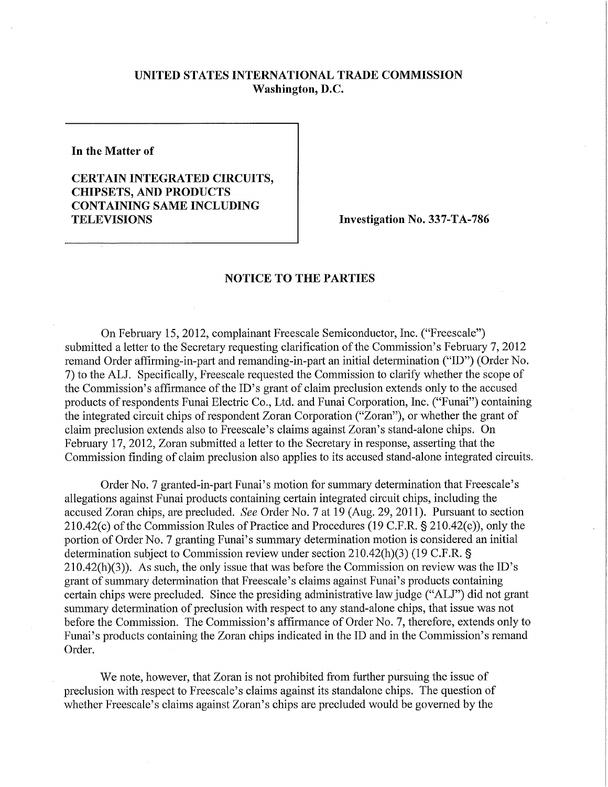## **UNITED STATES INTERNATIONAL TRADE COMMISSION Washington, D.C.**

**In the Matter of** 

## **CERTAIN INTEGRATED CIRCUITS, CHIPSETS, AND PRODUCTS CONTAINING SAME INCLUDING TELEVISIONS Investigation No. 337-TA-786**

## **NOTICE TO THE PARTIES**

On February 15, 2012, complainant Freescale Semiconductor, Inc. ("Freescale") submitted a letter to the Secretary requesting clarification of the Commission's February 7, 2012 remand Order affirming-in-part and remanding-in-part an initial detennination ("ID") (Order No. 7) to the ALJ. Specifically, Freescale requested the Commission to clarify whether the scope of the Commission's affirmance of the ID's grant of claim preclusion extends only to the accused products of respondents Funai Electric Co., Ltd. and Funai Corporation, Inc. ("Funai") containing the integrated circuit chips of respondent Zoran Corporation ("Zoran"), or whether the grant of claim preclusion extends also to Freescale's claims against Zoran's stand-alone chips. On February 17, 2012, Zoran submitted a letter to the Secretary in response, asserting that the Commission finding of claim preclusion also applies to its accused stand-alone integrated circuits.

Order No. 7 granted-in-part Funai's motion for summary determination that Freescale's allegations against Funai products containing certain integrated circuit chips, including the accused Zoran chips, are precluded. *See* Order No. 7 at 19 (Aug. 29, 2011). Pursuant to section 210.42(c) of the Commission Rules of Practice and Procedures (19 C.F.R. § 210.42(c)), only the portion of Order No. 7 granting Funai's summary determination motion is considered an initial determination subject to Commission review under section 210.42(h)(3) (19 C.F.R. § 210.42(h)(3)). As such, the only issue that was before the Commission on review was the ID's grant of summary determination that Freescale's claims against Funai's products containing certain chips were precluded. Since the presiding administrative law judge ("ALJ") did not grant summary determination of preclusion with respect to any stand-alone chips, that issue was not before the Commission. The Commission's affirmance of Order No. 7, therefore, extends only to Funai's products containing the Zoran chips indicated in the ID and in the Commission's remand Order.

We note, however, that Zoran is not prohibited from further pursuing the issue of preclusion with respect to Freescale's claims against its standalone chips. The question of whether Freescale's claims against Zoran's chips are precluded would be governed by the